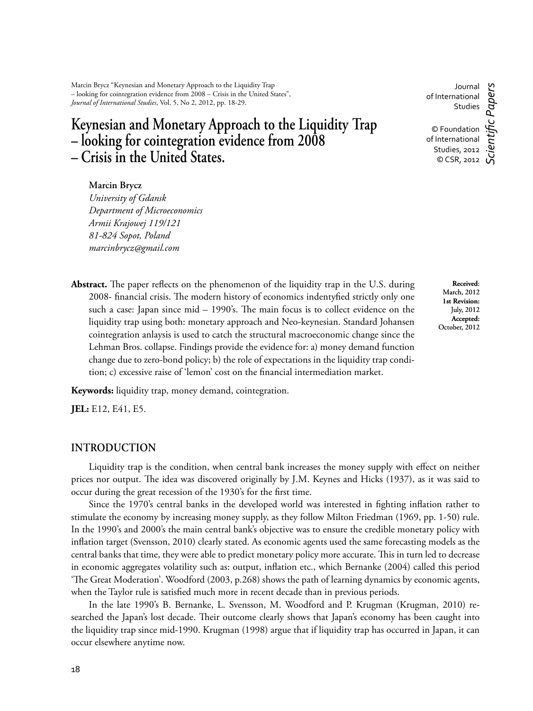Marcin Brycz "Keynesian and Monetary Approach to the Liquidity Trap – looking for cointegration evidence from 2008 – Crisis in the United States", *Journal of International Studies*, Vol. 5, No 2, 2012, pp. 18-29.

# **Keynesian and Monetary Approach to the Liquidity Trap – looking for cointegration evidence from 2008 – Crisis in the United States.**

Journal of International Studies © Foundation of International Studies, 2012 © CSR, 2012 *Scientifi c Papers*

#### **Marcin Brycz**

*University of Gdansk Department of Microeconomics Armii Krajowej 119/121 81-824 Sopot, Poland marcinbrycz@gmail.com*

**Abstract.** The paper reflects on the phenomenon of the liquidity trap in the U.S. during 2008- financial crisis. The modern history of economics indentyfied strictly only one such a case: Japan since  $mid - 1990$ 's. The main focus is to collect evidence on the liquidity trap using both: monetary approach and Neo-keynesian. Standard Johansen cointegration anlaysis is used to catch the structural macroeconomic change since the Lehman Bros. collapse. Findings provide the evidence for: a) money demand function change due to zero-bond policy; b) the role of expectations in the liquidity trap condition; c) excessive raise of 'lemon' cost on the financial intermediation market.

**Received**: March, 2012 **1st Revision:**  July, 2012 **Accepted:**  October, 2012

**Keywords:** liquidity trap, money demand, cointegration.

**JEL:** E12, E41, E5.

#### **INTRODUCTION**

Liquidity trap is the condition, when central bank increases the money supply with effect on neither prices nor output. The idea was discovered originally by J.M. Keynes and Hicks (1937), as it was said to occur during the great recession of the 1930's for the first time.

Since the 1970's central banks in the developed world was interested in fighting inflation rather to stimulate the economy by increasing money supply, as they follow Milton Friedman (1969, pp. 1-50) rule. In the 1990's and 2000's the main central bank's objective was to ensure the credible monetary policy with inflation target (Svensson, 2010) clearly stated. As economic agents used the same forecasting models as the central banks that time, they were able to predict monetary policy more accurate. This in turn led to decrease in economic aggregates volatility such as: output, inflation etc., which Bernanke (2004) called this period 'The Great Moderation'. Woodford (2003, p.268) shows the path of learning dynamics by economic agents, when the Taylor rule is satisfied much more in recent decade than in previous periods.

In the late 1990's B. Bernanke, L. Svensson, M. Woodford and P. Krugman (Krugman, 2010) researched the Japan's lost decade. Their outcome clearly shows that Japan's economy has been caught into the liquidity trap since mid-1990. Krugman (1998) argue that if liquidity trap has occurred in Japan, it can occur elsewhere anytime now.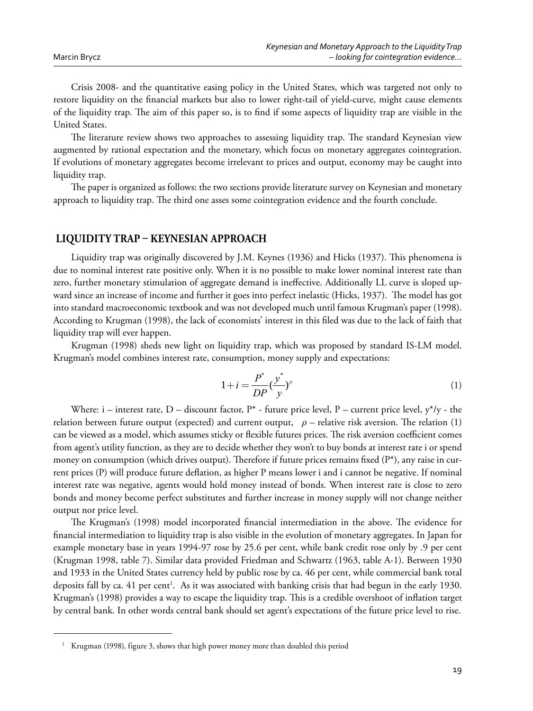Crisis 2008- and the quantitative easing policy in the United States, which was targeted not only to restore liquidity on the financial markets but also to lower right-tail of yield-curve, might cause elements of the liquidity trap. The aim of this paper so, is to find if some aspects of liquidity trap are visible in the United States.

The literature review shows two approaches to assessing liquidity trap. The standard Keynesian view augmented by rational expectation and the monetary, which focus on monetary aggregates cointegration. If evolutions of monetary aggregates become irrelevant to prices and output, economy may be caught into liquidity trap.

The paper is organized as follows: the two sections provide literature survey on Keynesian and monetary approach to liquidity trap. The third one asses some cointegration evidence and the fourth conclude.

### LIQUIDITY TRAP - KEYNESIAN APPROACH

Liquidity trap was originally discovered by J.M. Keynes (1936) and Hicks (1937). This phenomena is due to nominal interest rate positive only. When it is no possible to make lower nominal interest rate than zero, further monetary stimulation of aggregate demand is ineffective. Additionally LL curve is sloped upward since an increase of income and further it goes into perfect inelastic (Hicks, 1937). The model has got into standard macroeconomic textbook and was not developed much until famous Krugman's paper (1998). According to Krugman (1998), the lack of economists' interest in this filed was due to the lack of faith that liquidity trap will ever happen.

Krugman (1998) sheds new light on liquidity trap, which was proposed by standard IS-LM model. Krugman's model combines interest rate, consumption, money supply and expectations:

$$
1 + i = \frac{P^*}{DP} \left(\frac{y^*}{y}\right)^{\rho}
$$
\n<sup>(1)</sup>

Where: i – interest rate, D – discount factor,  $P^*$  - future price level, P – current price level,  $y^*/y$  - the relation between future output (expected) and current output,  $\rho$  – relative risk aversion. The relation (1) can be viewed as a model, which assumes sticky or flexible futures prices. The risk aversion coefficient comes from agent's utility function, as they are to decide whether they won't to buy bonds at interest rate i or spend money on consumption (which drives output). Therefore if future prices remains fixed  $(P^*)$ , any raise in current prices (P) will produce future deflation, as higher P means lower i and i cannot be negative. If nominal interest rate was negative, agents would hold money instead of bonds. When interest rate is close to zero bonds and money become perfect substitutes and further increase in money supply will not change neither output nor price level.

The Krugman's (1998) model incorporated financial intermediation in the above. The evidence for financial intermediation to liquidity trap is also visible in the evolution of monetary aggregates. In Japan for example monetary base in years 1994-97 rose by 25.6 per cent, while bank credit rose only by .9 per cent (Krugman 1998, table 7). Similar data provided Friedman and Schwartz (1963, table A-1). Between 1930 and 1933 in the United States currency held by public rose by ca. 46 per cent, while commercial bank total deposits fall by ca. 41 per cent<sup>1</sup>. As it was associated with banking crisis that had begun in the early 1930. Krugman's (1998) provides a way to escape the liquidity trap. This is a credible overshoot of inflation target by central bank. In other words central bank should set agent's expectations of the future price level to rise.

Krugman (1998), figure 3, shows that high power money more than doubled this period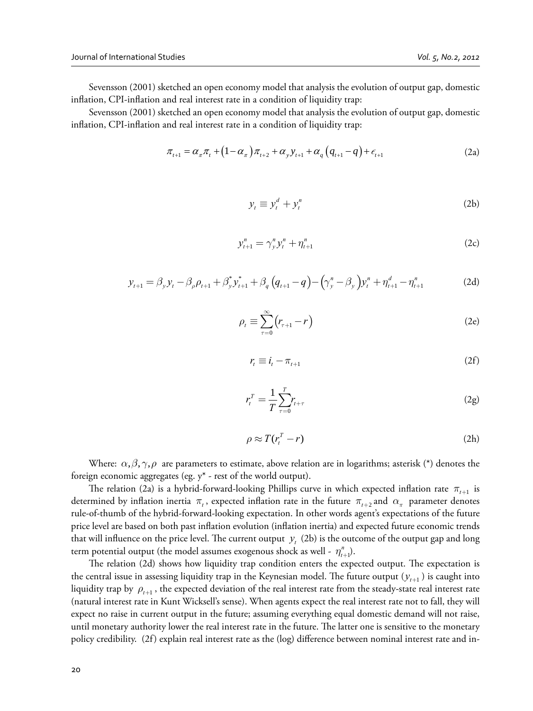Sevensson (2001) sketched an open economy model that analysis the evolution of output gap, domestic inflation, CPI-inflation and real interest rate in a condition of liquidity trap:

Sevensson (2001) sketched an open economy model that analysis the evolution of output gap, domestic inflation, CPI-inflation and real interest rate in a condition of liquidity trap:

$$
\pi_{t+1} = \alpha_{\pi} \pi_t + (1 - \alpha_{\pi}) \pi_{t+2} + \alpha_{y} y_{t+1} + \alpha_{q} (q_{t+1} - q) + \epsilon_{t+1}
$$
\n(2a)

$$
y_t \equiv y_t^d + y_t^n \tag{2b}
$$

$$
y_{t+1}^n = \gamma_y^n y_t^n + \eta_{t+1}^n \tag{2c}
$$

$$
y_{t+1} = \beta_y y_t - \beta_\rho \rho_{t+1} + \beta_y^* y_{t+1}^* + \beta_q (q_{t+1} - q) - (\gamma_y^n - \beta_y) y_t^n + \eta_{t+1}^d - \eta_{t+1}^n
$$
 (2d)

$$
\rho_t \equiv \sum_{\tau=0}^{\infty} \left( r_{\tau+1} - r \right) \tag{2e}
$$

$$
r_t \equiv i_t - \pi_{t+1} \tag{2f}
$$

$$
r_t^T = \frac{1}{T} \sum_{\tau=0}^T r_{t+\tau} \tag{2g}
$$

$$
\rho \approx T(r_t^T - r) \tag{2h}
$$

Where:  $\alpha, \beta, \gamma, \rho$  are parameters to estimate, above relation are in logarithms; asterisk (\*) denotes the foreign economic aggregates (eg. y\* - rest of the world output).

The relation (2a) is a hybrid-forward-looking Phillips curve in which expected inflation rate  $\pi_{t+1}$  is determined by inflation inertia  $\pi$ , expected inflation rate in the future  $\pi$ <sub>*t*+2</sub> and  $\alpha$ <sub>π</sub> parameter denotes rule-of-thumb of the hybrid-forward-looking expectation. In other words agent's expectations of the future price level are based on both past inflation evolution (inflation inertia) and expected future economic trends that will influence on the price level. The current output  $y_i$  (2b) is the outcome of the output gap and long term potential output (the model assumes exogenous shock as well -  $\eta^n_{t+1}$ ).

The relation (2d) shows how liquidity trap condition enters the expected output. The expectation is the central issue in assessing liquidity trap in the Keynesian model. The future output  $(y_{t+1})$  is caught into liquidity trap by  $\rho_{t+1}$ , the expected deviation of the real interest rate from the steady-state real interest rate (natural interest rate in Kunt Wicksell's sense). When agents expect the real interest rate not to fall, they will expect no raise in current output in the future; assuming everything equal domestic demand will not raise, until monetary authority lower the real interest rate in the future. The latter one is sensitive to the monetary policy credibility. (2f) explain real interest rate as the (log) difference between nominal interest rate and in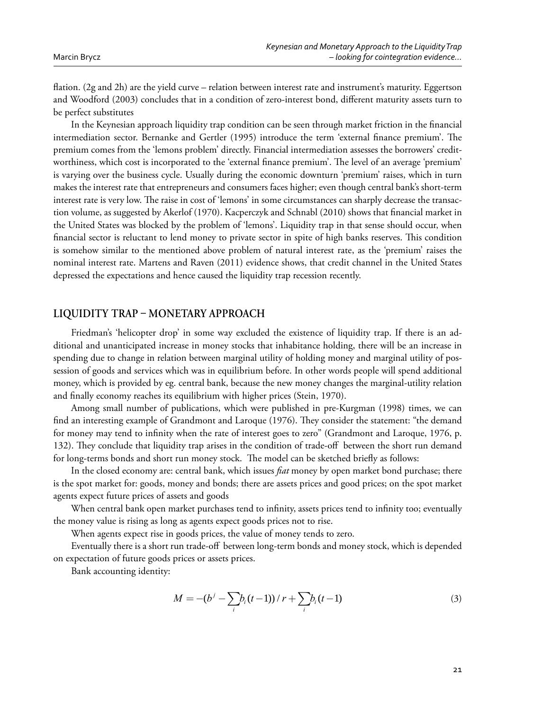flation. (2g and 2h) are the yield curve – relation between interest rate and instrument's maturity. Eggertson and Woodford (2003) concludes that in a condition of zero-interest bond, different maturity assets turn to be perfect substitutes

In the Keynesian approach liquidity trap condition can be seen through market friction in the financial intermediation sector. Bernanke and Gertler (1995) introduce the term 'external finance premium'. The premium comes from the 'lemons problem' directly. Financial intermediation assesses the borrowers' creditworthiness, which cost is incorporated to the 'external finance premium'. The level of an average 'premium' is varying over the business cycle. Usually during the economic downturn 'premium' raises, which in turn makes the interest rate that entrepreneurs and consumers faces higher; even though central bank's short-term interest rate is very low. The raise in cost of 'lemons' in some circumstances can sharply decrease the transaction volume, as suggested by Akerlof (1970). Kacperczyk and Schnabl (2010) shows that financial market in the United States was blocked by the problem of 'lemons'. Liquidity trap in that sense should occur, when financial sector is reluctant to lend money to private sector in spite of high banks reserves. This condition is somehow similar to the mentioned above problem of natural interest rate, as the 'premium' raises the nominal interest rate. Martens and Raven (2011) evidence shows, that credit channel in the United States depressed the expectations and hence caused the liquidity trap recession recently.

# LIQUIDITY TRAP - MONETARY APPROACH

Friedman's 'helicopter drop' in some way excluded the existence of liquidity trap. If there is an additional and unanticipated increase in money stocks that inhabitance holding, there will be an increase in spending due to change in relation between marginal utility of holding money and marginal utility of possession of goods and services which was in equilibrium before. In other words people will spend additional money, which is provided by eg. central bank, because the new money changes the marginal-utility relation and finally economy reaches its equilibrium with higher prices (Stein, 1970).

Among small number of publications, which were published in pre-Kurgman (1998) times, we can find an interesting example of Grandmont and Laroque (1976). They consider the statement: "the demand for money may tend to infinity when the rate of interest goes to zero" (Grandmont and Laroque, 1976, p. 132). They conclude that liquidity trap arises in the condition of trade-off between the short run demand for long-terms bonds and short run money stock. The model can be sketched briefly as follows:

In the closed economy are: central bank, which issues *fiat* money by open market bond purchase; there is the spot market for: goods, money and bonds; there are assets prices and good prices; on the spot market agents expect future prices of assets and goods

When central bank open market purchases tend to infinity, assets prices tend to infinity too; eventually the money value is rising as long as agents expect goods prices not to rise.

When agents expect rise in goods prices, the value of money tends to zero.

Eventually there is a short run trade-off between long-term bonds and money stock, which is depended on expectation of future goods prices or assets prices.

Bank accounting identity:

$$
M = -(b^{j} - \sum_{i} b_{i}(t-1)) / r + \sum_{i} b_{i}(t-1)
$$
\n(3)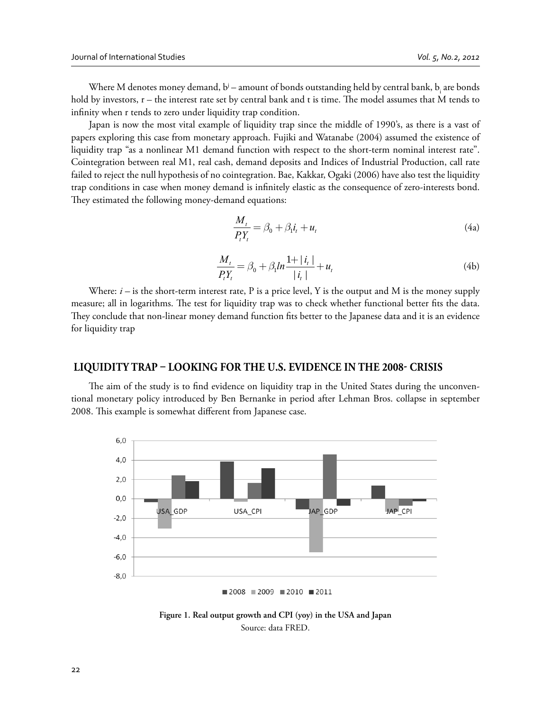Where M denotes money demand, b' – amount of bonds outstanding held by central bank, b<sub>i</sub> are bonds hold by investors,  $r$  – the interest rate set by central bank and t is time. The model assumes that M tends to infinity when r tends to zero under liquidity trap condition.

Japan is now the most vital example of liquidity trap since the middle of 1990's, as there is a vast of papers exploring this case from monetary approach. Fujiki and Watanabe (2004) assumed the existence of liquidity trap "as a nonlinear M1 demand function with respect to the short-term nominal interest rate". Cointegration between real M1, real cash, demand deposits and Indices of Industrial Production, call rate failed to reject the null hypothesis of no cointegration. Bae, Kakkar, Ogaki (2006) have also test the liquidity trap conditions in case when money demand is infinitely elastic as the consequence of zero-interests bond. They estimated the following money-demand equations:

$$
\frac{M_t}{P_t Y_t} = \beta_0 + \beta_1 i_t + u_t \tag{4a}
$$

$$
\frac{M_t}{P_t Y_t} = \beta_0 + \beta_1 \ln \frac{1 + |i_t|}{|i_t|} + u_t
$$
\n(4b)

Where: *i* – is the short-term interest rate, P is a price level, Y is the output and M is the money supply measure; all in logarithms. The test for liquidity trap was to check whether functional better fits the data. They conclude that non-linear money demand function fits better to the Japanese data and it is an evidence for liquidity trap

# LIQUIDITY TRAP - LOOKING FOR THE U.S. EVIDENCE IN THE 2008- CRISIS

The aim of the study is to find evidence on liquidity trap in the United States during the unconventional monetary policy introduced by Ben Bernanke in period after Lehman Bros. collapse in september 2008. This example is somewhat different from Japanese case.



 $2008 = 2009 = 2010 = 2011$ 

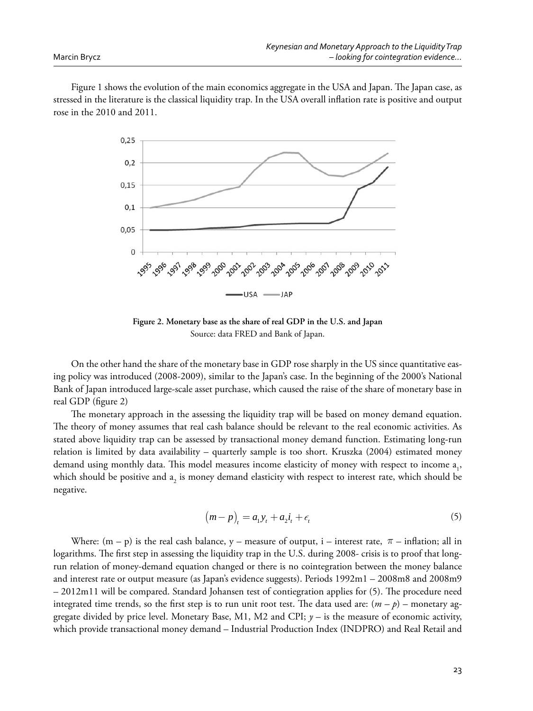Figure 1 shows the evolution of the main economics aggregate in the USA and Japan. The Japan case, as stressed in the literature is the classical liquidity trap. In the USA overall inflation rate is positive and output rose in the 2010 and 2011.



**Figure 2. Monetary base as the share of real GDP in the U.S. and Japan** Source: data FRED and Bank of Japan.

On the other hand the share of the monetary base in GDP rose sharply in the US since quantitative easing policy was introduced (2008-2009), similar to the Japan's case. In the beginning of the 2000's National Bank of Japan introduced large-scale asset purchase, which caused the raise of the share of monetary base in real GDP (figure 2)

The monetary approach in the assessing the liquidity trap will be based on money demand equation. The theory of money assumes that real cash balance should be relevant to the real economic activities. As stated above liquidity trap can be assessed by transactional money demand function. Estimating long-run relation is limited by data availability – quarterly sample is too short. Kruszka (2004) estimated money demand using monthly data. This model measures income elasticity of money with respect to income  $a_{1}$ , which should be positive and  $a_2$  is money demand elasticity with respect to interest rate, which should be negative.

$$
(m-p)_t = a_1 y_t + a_2 i_t + \epsilon_t \tag{5}
$$

Where:  $(m - p)$  is the real cash balance, y – measure of output, i – interest rate,  $\pi$  – inflation; all in logarithms. The first step in assessing the liquidity trap in the U.S. during 2008- crisis is to proof that longrun relation of money-demand equation changed or there is no cointegration between the money balance and interest rate or output measure (as Japan's evidence suggests). Periods 1992m1 – 2008m8 and 2008m9  $-2012m11$  will be compared. Standard Johansen test of contiegration applies for (5). The procedure need integrated time trends, so the first step is to run unit root test. The data used are:  $(m - p)$  – monetary aggregate divided by price level. Monetary Base, M1, M2 and CPI;  $y -$  is the measure of economic activity, which provide transactional money demand – Industrial Production Index (INDPRO) and Real Retail and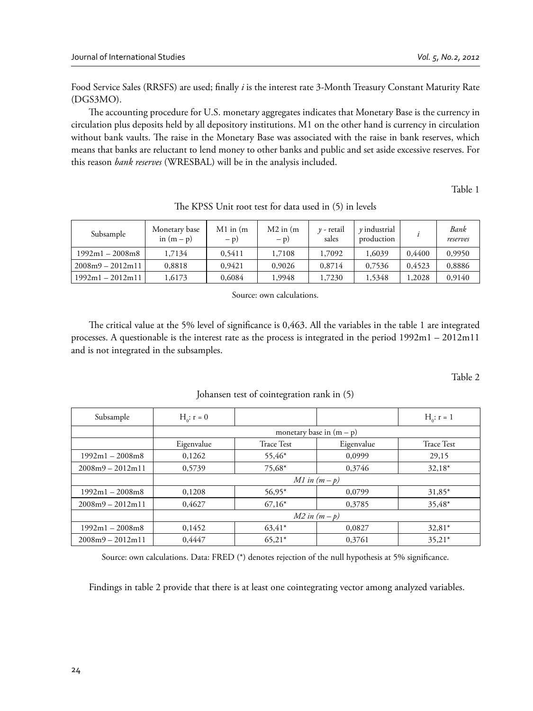Food Service Sales (RRSFS) are used; finally *i* is the interest rate 3-Month Treasury Constant Maturity Rate (DGS3MO).

The accounting procedure for U.S. monetary aggregates indicates that Monetary Base is the currency in circulation plus deposits held by all depository institutions. M1 on the other hand is currency in circulation without bank vaults. The raise in the Monetary Base was associated with the raise in bank reserves, which means that banks are reluctant to lend money to other banks and public and set aside excessive reserves. For this reason *bank reserves* (WRESBAL) will be in the analysis included.

Table 1

| Subsample          | Monetary base<br>in $(m - p)$ | $M1$ in $(m)$<br>$- p$ ) | $M2$ in $(m)$<br>$- p$ ) | $\nu$ - retail<br>sales | $\nu$ industrial<br>production |        | Bank<br>reserves |
|--------------------|-------------------------------|--------------------------|--------------------------|-------------------------|--------------------------------|--------|------------------|
| $1992m1 - 2008m8$  | 1,7134                        | 0.5411                   | 1,7108                   | 1,7092                  | 1,6039                         | 0.4400 | 0,9950           |
| $2008m9 - 2012m11$ | 0.8818                        | 0.9421                   | 0.9026                   | 0.8714                  | 0.7536                         | 0.4523 | 0,8886           |
| $1992m1 - 2012m11$ | .6173                         | 0.6084                   | 1.9948                   | 1,7230                  | 1,5348                         | 1.2028 | 0.9140           |

The KPSS Unit root test for data used in (5) in levels

Source: own calculations.

The critical value at the 5% level of significance is 0,463. All the variables in the table 1 are integrated processes. A questionable is the interest rate as the process is integrated in the period 1992m1 – 2012m11 and is not integrated in the subsamples.

Table 2

| Subsample          | $H_0: r = 0$               |            |            | $H_0: r = 1$      |
|--------------------|----------------------------|------------|------------|-------------------|
|                    | monetary base in $(m - p)$ |            |            |                   |
|                    | Eigenvalue                 | Trace Test | Eigenvalue | <b>Trace Test</b> |
| $1992m1 - 2008m8$  | 0,1262                     | 55,46*     | 0,0999     | 29,15             |
| $2008m9 - 2012m11$ | 0,5739                     | 75,68*     | 0,3746     | $32,18*$          |
|                    | $M1$ in $(m-p)$            |            |            |                   |
| $1992m1 - 2008m8$  | 0,1208                     | 56,95*     | 0,0799     | $31,85*$          |
| $2008m9 - 2012m11$ | 0.4627                     | $67,16*$   | 0.3785     | 35,48*            |
|                    | $M2$ in $(m-p)$            |            |            |                   |
| $1992m1 - 2008m8$  | 0,1452                     | $63,41*$   | 0.0827     | $32,81*$          |
| $2008m9 - 2012m11$ | 0.4447                     | $65,21*$   | 0,3761     | $35.21*$          |

Johansen test of cointegration rank in (5)

Source: own calculations. Data: FRED  $(*)$  denotes rejection of the null hypothesis at 5% significance.

Findings in table 2 provide that there is at least one cointegrating vector among analyzed variables.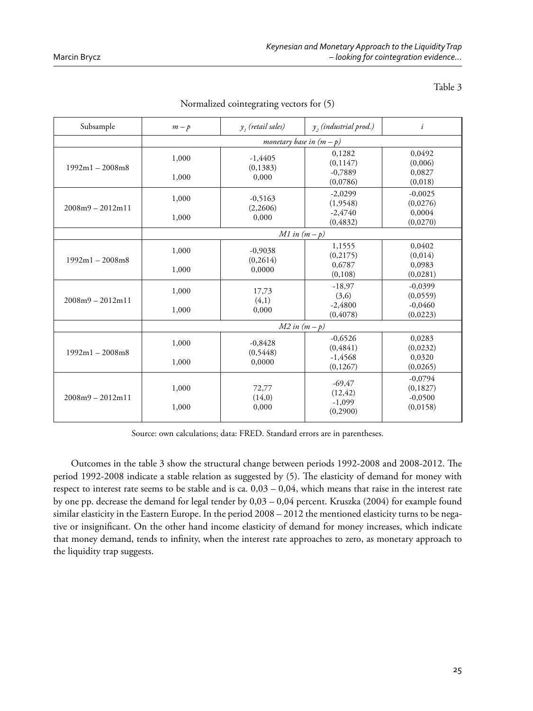Table 3

Subsample  $m-p$  $y<sub>i</sub>$  (retail sales)  *(industrial prod.) i monetary base in (m – p)* 1992m1 – 2008m8 1,000 1,000 -1,4405 (0,1383) 0,000 0,1282  $(0,1147)$ -0,7889 (0,0786) 0,0492 (0,006) 0,0827 (0,018) 2008m9 – 2012m11 1,000 1,000 -0,5163 (2,2606) 0,000 -2,0299 (1,9548) -2,4740 (0,4832) -0,0025 (0,0276) 0,0004 (0,0270) *M1 in (m – p)* 1992m1 – 2008m8 1,000 1,000 -0,9038 (0,2614) 0,0000 1,1555 (0,2175) 0,6787 (0,108) 0,0402  $(0,014)$ 0,0983 (0,0281) 2008m9 – 2012m11 1,000 1,000 17,73  $(4,1)$ 0,000 -18,97 (3,6) -2,4800 (0,4078) -0,0399  $(0,0559)$ -0,0460  $(0,0223)$ *M2 in (m – p)* 1992m1 – 2008m8 1,000 1,000 -0,8428 (0,5448) 0,0000 -0,6526 (0,4841) -1,4568 (0,1267) 0,0283 (0,0232) 0,0320  $(0,0265)$ 2008m9 – 2012m11 1,000 1,000 72,77 (14,0) 0,000 -69,47 (12,42) -1,099 (0,2900) -0,0794 (0,1827) -0,0500 (0,0158)

Normalized cointegrating vectors for (5)

Source: own calculations; data: FRED. Standard errors are in parentheses.

Outcomes in the table 3 show the structural change between periods 1992-2008 and 2008-2012. The period 1992-2008 indicate a stable relation as suggested by (5). The elasticity of demand for money with respect to interest rate seems to be stable and is ca.  $0.03 - 0.04$ , which means that raise in the interest rate by one pp. decrease the demand for legal tender by 0,03 – 0,04 percent. Kruszka (2004) for example found similar elasticity in the Eastern Europe. In the period 2008 – 2012 the mentioned elasticity turns to be negative or insignificant. On the other hand income elasticity of demand for money increases, which indicate that money demand, tends to infinity, when the interest rate approaches to zero, as monetary approach to the liquidity trap suggests.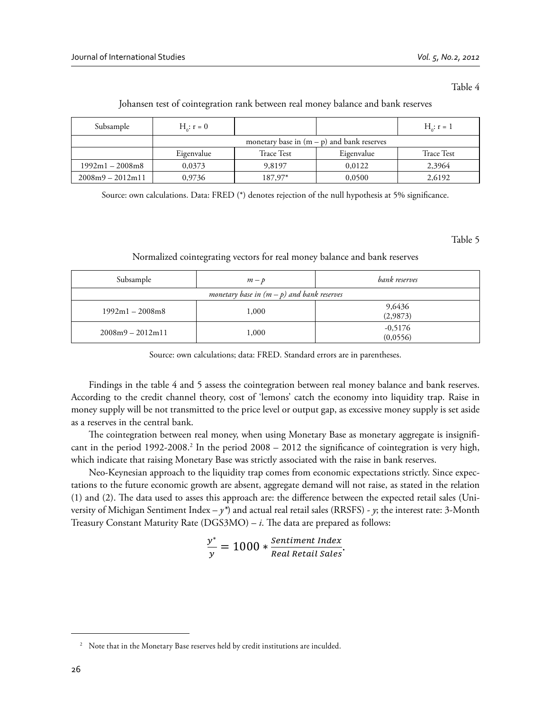#### Table 4

| Subsample          | $H_{0}: r = 0$ |                   |                                              | $H_c: r = 1$      |
|--------------------|----------------|-------------------|----------------------------------------------|-------------------|
|                    |                |                   | monetary base in $(m - p)$ and bank reserves |                   |
|                    | Eigenvalue     | <b>Trace Test</b> | Eigenvalue                                   | <b>Trace Test</b> |
| $1992m1 - 2008m8$  | 0,0373         | 9,8197            | 0,0122                                       | 2,3964            |
| $2008m9 - 2012m11$ | 0,9736         | 187,97*           | 0,0500                                       | 2,6192            |

#### Johansen test of cointegration rank between real money balance and bank reserves

Source: own calculations. Data: FRED  $(*)$  denotes rejection of the null hypothesis at 5% significance.

Table 5

#### Normalized cointegrating vectors for real money balance and bank reserves

| Subsample                                    | $m-p$ | bank reserves         |  |  |  |
|----------------------------------------------|-------|-----------------------|--|--|--|
| monetary base in $(m - p)$ and bank reserves |       |                       |  |  |  |
| $1992m1 - 2008m8$                            | 1,000 | 9,6436<br>(2,9873)    |  |  |  |
| $2008m9 - 2012m11$                           | 1,000 | $-0,5176$<br>(0,0556) |  |  |  |

Source: own calculations; data: FRED. Standard errors are in parentheses.

Findings in the table 4 and 5 assess the cointegration between real money balance and bank reserves. According to the credit channel theory, cost of 'lemons' catch the economy into liquidity trap. Raise in money supply will be not transmitted to the price level or output gap, as excessive money supply is set aside as a reserves in the central bank.

The cointegration between real money, when using Monetary Base as monetary aggregate is insignificant in the period 1992-2008.<sup>2</sup> In the period  $2008 - 2012$  the significance of cointegration is very high, which indicate that raising Monetary Base was strictly associated with the raise in bank reserves.

Neo-Keynesian approach to the liquidity trap comes from economic expectations strictly. Since expectations to the future economic growth are absent, aggregate demand will not raise, as stated in the relation  $(1)$  and  $(2)$ . The data used to asses this approach are: the difference between the expected retail sales (University of Michigan Sentiment Index –  $\gamma^*$ ) and actual real retail sales (RRSFS) -  $\gamma$ ; the interest rate: 3-Month Treasury Constant Maturity Rate  $(DGS3MO) - i$ . The data are prepared as follows:

$$
\frac{y^*}{y} = 1000 * \frac{Sentiment Index}{Real Retail Sales}.
$$

<sup>&</sup>lt;sup>2</sup> Note that in the Monetary Base reserves held by credit institutions are inculded.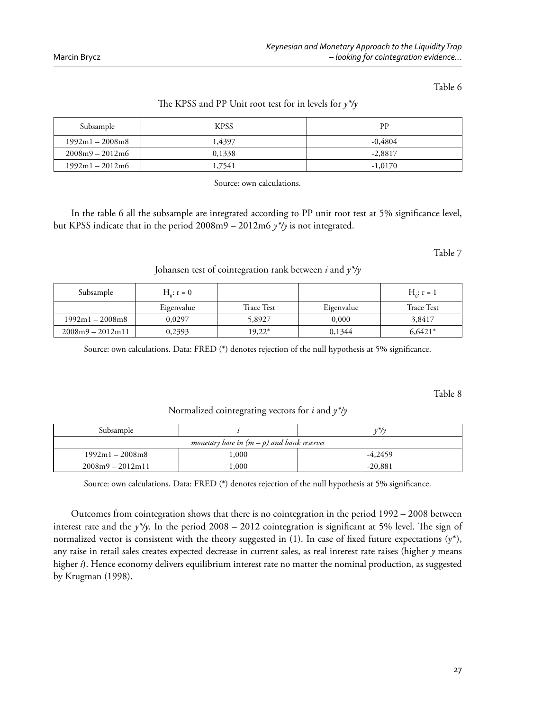Table 6

| Subsample         | <b>KPSS</b> | PP        |
|-------------------|-------------|-----------|
| $1992m1 - 2008m8$ | 1.4397      | $-0.4804$ |
| $2008m9 - 2012m6$ | 0,1338      | $-2,8817$ |
| $1992m1 - 2012m6$ | 1.7541      | $-1,0170$ |

# The KPSS and PP Unit root test for in levels for  $y^*$ /y

Source: own calculations.

In the table 6 all the subsample are integrated according to PP unit root test at 5% significance level, but KPSS indicate that in the period 2008m9 – 2012m6 *y\*/y* is not integrated.

Table 7

Johansen test of cointegration rank between *i* and *y\*/y*

| Subsample          | $H_{0}: r = 0$ |                   |            | $H_0: r = 1$ |
|--------------------|----------------|-------------------|------------|--------------|
|                    | Eigenvalue     | <b>Trace Test</b> | Eigenvalue | Trace Test   |
| $1992m1 - 2008m8$  | 0.0297         | 5,8927            | 0,000      | 3,8417       |
| $2008m9 - 2012m11$ | 0,2393         | 19,22*            | 0.1344     | $6.6421*$    |

Source: own calculations. Data: FRED  $(*)$  denotes rejection of the null hypothesis at 5% significance.

Table 8

Normalized cointegrating vectors for *i* and *y\*/y*

| Subsample                                    |       | 1/7/1     |  |  |
|----------------------------------------------|-------|-----------|--|--|
| monetary base in $(m - p)$ and bank reserves |       |           |  |  |
| $1992m1 - 2008m8$                            | .000. | $-4.2459$ |  |  |
| $2008m9 - 2012m11$                           | ,000  | $-20,881$ |  |  |

Source: own calculations. Data: FRED  $(*)$  denotes rejection of the null hypothesis at 5% significance.

Outcomes from cointegration shows that there is no cointegration in the period 1992 – 2008 between interest rate and the  $\gamma^*$ /y. In the period 2008 – 2012 cointegration is significant at 5% level. The sign of normalized vector is consistent with the theory suggested in  $(1)$ . In case of fixed future expectations  $(y^*)$ , any raise in retail sales creates expected decrease in current sales, as real interest rate raises (higher *y* means higher *i*). Hence economy delivers equilibrium interest rate no matter the nominal production, as suggested by Krugman (1998).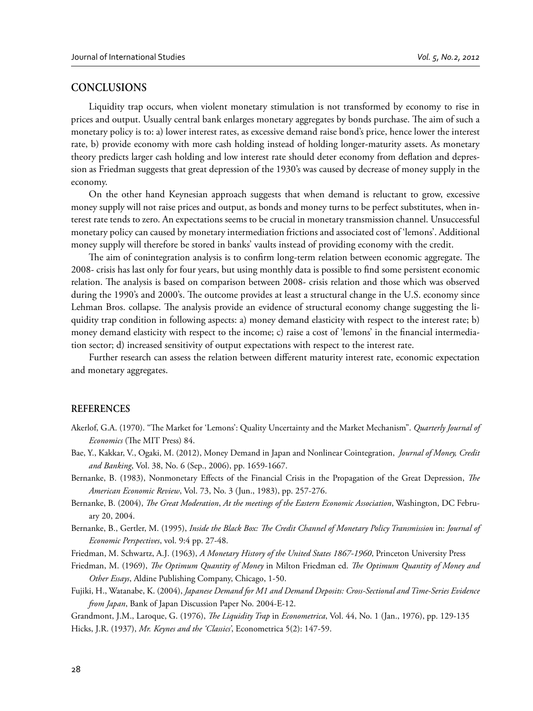## **CONCLUSIONS**

Liquidity trap occurs, when violent monetary stimulation is not transformed by economy to rise in prices and output. Usually central bank enlarges monetary aggregates by bonds purchase. The aim of such a monetary policy is to: a) lower interest rates, as excessive demand raise bond's price, hence lower the interest rate, b) provide economy with more cash holding instead of holding longer-maturity assets. As monetary theory predicts larger cash holding and low interest rate should deter economy from deflation and depression as Friedman suggests that great depression of the 1930's was caused by decrease of money supply in the economy.

On the other hand Keynesian approach suggests that when demand is reluctant to grow, excessive money supply will not raise prices and output, as bonds and money turns to be perfect substitutes, when interest rate tends to zero. An expectations seems to be crucial in monetary transmission channel. Unsuccessful monetary policy can caused by monetary intermediation frictions and associated cost of 'lemons'. Additional money supply will therefore be stored in banks' vaults instead of providing economy with the credit.

The aim of conintegration analysis is to confirm long-term relation between economic aggregate. The 2008- crisis has last only for four years, but using monthly data is possible to find some persistent economic relation. The analysis is based on comparison between 2008- crisis relation and those which was observed during the 1990's and 2000's. The outcome provides at least a structural change in the U.S. economy since Lehman Bros. collapse. The analysis provide an evidence of structural economy change suggesting the liquidity trap condition in following aspects: a) money demand elasticity with respect to the interest rate; b) money demand elasticity with respect to the income; c) raise a cost of 'lemons' in the financial intermediation sector; d) increased sensitivity of output expectations with respect to the interest rate.

Further research can assess the relation between different maturity interest rate, economic expectation and monetary aggregates.

#### **REFERENCES**

- Akerlof, G.A. (1970). "The Market for 'Lemons': Quality Uncertainty and the Market Mechanism". *Quarterly Journal of Economics* (The MIT Press) 84.
- Bae, Y., Kakkar, V., Ogaki, M. (2012), Money Demand in Japan and Nonlinear Cointegration, *Journal of Money, Credit and Banking*, Vol. 38, No. 6 (Sep., 2006), pp. 1659-1667.
- Bernanke, B. (1983), Nonmonetary Effects of the Financial Crisis in the Propagation of the Great Depression, *The American Economic Review*, Vol. 73, No. 3 (Jun., 1983), pp. 257-276.
- Bernanke, B. (2004), *The Great Moderation, At the meetings of the Eastern Economic Association*, Washington, DC February 20, 2004.
- Bernanke, B., Gertler, M. (1995), *Inside the Black Box: The Credit Channel of Monetary Policy Transmission* in: *Journal of Economic Perspectives*, vol. 9:4 pp. 27-48.
- Friedman, M. Schwartz, A.J. (1963), *A Monetary History of the United States 1867-1960*, Princeton University Press
- Friedman, M. (1969), *The Optimum Quantity of Money* in Milton Friedman ed. *The Optimum Quantity of Money and Other Essays*, Aldine Publishing Company, Chicago, 1-50.
- Fujiki, H., Watanabe, K. (2004), *Japanese Demand for M1 and Demand Deposits: Cross-Sectional and Time-Series Evidence from Japan*, Bank of Japan Discussion Paper No. 2004-E-12.
- Grandmont, J.M., Laroque, G. (1976), *The Liquidity Trap* in *Econometrica*, Vol. 44, No. 1 (Jan., 1976), pp. 129-135 Hicks, J.R. (1937), *Mr. Keynes and the 'Classics'*, Econometrica 5(2): 147-59.